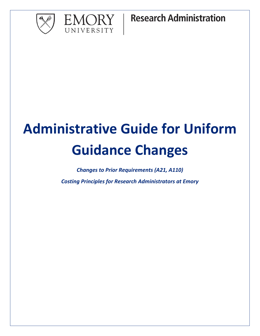



**Research Administration** 

# **Administrative Guide for Uniform Guidance Changes**

*Changes to Prior Requirements (A21, A110)*

*Costing Principles for Research Administrators at Emory*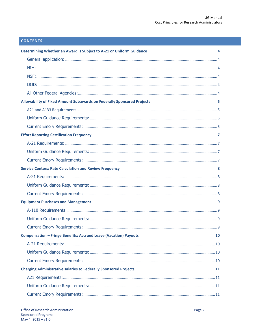# **CONTENTS**

| Determining Whether an Award is Subject to A-21 or Uniform Guidance     | 4  |
|-------------------------------------------------------------------------|----|
|                                                                         |    |
|                                                                         |    |
|                                                                         |    |
|                                                                         |    |
|                                                                         |    |
| Allowability of Fixed Amount Subawards on Federally Sponsored Projects  | 5  |
|                                                                         |    |
|                                                                         |    |
|                                                                         |    |
| <b>Effort Reporting Certification Frequency</b>                         | 7  |
|                                                                         |    |
|                                                                         |    |
|                                                                         |    |
| <b>Service Centers: Rate Calculation and Review Frequency</b>           | 8  |
|                                                                         |    |
|                                                                         |    |
|                                                                         |    |
| <b>Equipment Purchases and Management</b>                               | 9  |
|                                                                         |    |
|                                                                         |    |
|                                                                         |    |
| <b>Compensation - Fringe Benefits: Accrued Leave (Vacation) Payouts</b> | 10 |
|                                                                         |    |
|                                                                         |    |
|                                                                         |    |
| <b>Charging Administrative salaries to Federally Sponsored Projects</b> | 11 |
|                                                                         |    |
|                                                                         |    |
|                                                                         |    |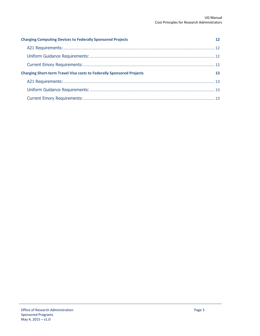| <b>Charging Computing Devices to Federally Sponsored Projects</b>            | $12 \ \mathrm{s}$ |
|------------------------------------------------------------------------------|-------------------|
|                                                                              |                   |
|                                                                              |                   |
|                                                                              |                   |
| <b>Charging Short-term Travel Visa costs to Federally Sponsored Projects</b> | 13                |
|                                                                              |                   |
|                                                                              |                   |
|                                                                              |                   |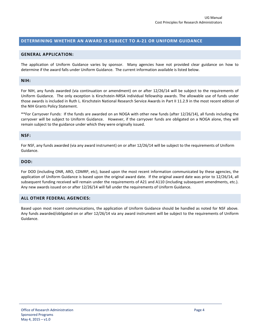## <span id="page-3-0"></span>**DETERMINING WHETHER AN AWARD IS SUBJECT TO A-21 OR UNIFORM GUIDANCE**

#### <span id="page-3-1"></span>**GENERAL APPLICATION:**

The application of Uniform Guidance varies by sponsor. Many agencies have not provided clear guidance on how to determine if the award falls under Uniform Guidance. The current information available is listed below.

#### <span id="page-3-2"></span>**NIH:**

For NIH, any funds awarded (via continuation or amendment) on or after 12/26/14 will be subject to the requirements of Uniform Guidance. The only exception is Kirschstein-NRSA individual fellowship awards. The allowable use of funds under those awards is included in Ruth L. Kirschstein National Research Service Awards in Part II 11.2.9 in the most recent edition of the NIH Grants Policy Statement.

\*\*For Carryover Funds: If the funds are awarded on an NOGA with other new funds (after 12/26/14), all funds including the carryover will be subject to Uniform Guidance. However, if the carryover funds are obligated on a NOGA alone, they will remain subject to the guidance under which they were originally issued.

#### <span id="page-3-3"></span>**NSF:**

For NSF, any funds awarded (via any award instrument) on or after 12/26/14 will be subject to the requirements of Uniform Guidance.

#### <span id="page-3-4"></span>**DOD:**

For DOD (including ONR, ARO, CDMRP, etc), based upon the most recent information communicated by these agencies, the application of Uniform Guidance is based upon the original award date. If the original award date was prior to 12/26/14, all subsequent funding received will remain under the requirements of A21 and A110 (including subsequent amendments, etc.). Any new awards issued on or after 12/26/14 will fall under the requirements of Uniform Guidance.

## <span id="page-3-5"></span>**ALL OTHER FEDERAL AGENCIES:**

Based upon most recent communications, the application of Uniform Guidance should be handled as noted for NSF above. Any funds awarded/obligated on or after 12/26/14 via any award instrument will be subject to the requirements of Uniform Guidance.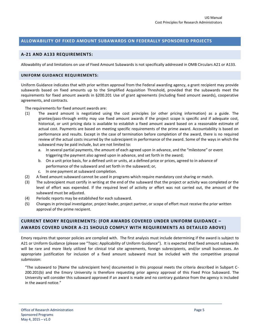## <span id="page-4-0"></span>**ALLOWABILITY OF FIXED AMOUNT SUBAWARDS ON FEDERALLY SPONSORED PROJECTS**

## <span id="page-4-1"></span>**A-21 AND A133 REQUIREMENTS:**

<span id="page-4-2"></span>Allowability of and limitations on use of Fixed Amount Subawards is not specifically addressed in OMB Circulars A21 or A133.

#### **UNIFORM GUIDANCE REQUIREMENTS:**

Uniform Guidance indicates that with prior written approval from the Federal awarding agency, a grant recipient may provide subawards based on fixed amounts up to the Simplified Acquisition Threshold, provided that the subawards meet the requirements for fixed amount awards in §200.201 Use of grant agreements (including fixed amount awards), cooperative agreements, and contracts.

The requirements for fixed amount awards are:

- (1) The award amount is negotiated using the cost principles (or other pricing information) as a guide. The grantee/pass-through entity may use fixed amount awards if the project scope is specific and if adequate cost, historical, or unit pricing data is available to establish a fixed amount award based on a reasonable estimate of actual cost. Payments are based on meeting specific requirements of the prime award. Accountability is based on performance and results. Except in the case of termination before completion of the award, there is no required review of the actual costs incurred by the subrecipient in performance of the award. Some of the ways in which the subaward may be paid include, but are not limited to:
	- a. In several partial payments, the amount of each agreed upon in advance, and the "milestone" or event triggering the payment also agreed upon in advance, and set forth in the award;
	- b. On a unit price basis, for a defined unit or units, at a defined price or prices, agreed to in advance of performance of the subaward and set forth in the subaward; or,
	- c. In one payment at subaward completion.
- (2) A fixed amount subaward cannot be used in programs which require mandatory cost sharing or match.
- (3) The subrecipient must certify in writing at the end of the subaward that the project or activity was completed or the level of effort was expended. If the required level of activity or effort was not carried out, the amount of the subaward must be adjusted.
- (4) Periodic reports may be established for each subaward.
- (5) Changes in principal investigator, project leader, project partner, or scope of effort must receive the prior written approval of the prime recipient.

# <span id="page-4-3"></span>**CURRENT EMORY REQUIREMENTS: (FOR AWARDS COVERED UNDER UNIFORM GUIDANCE – AWARDS COVERD UNDER A-21 SHOULD COMPLY WITH REQUIREMENTS AS DETAILED ABOVE)**

Emory requires that sponsor policies are complied with. The first analysis must include determining if the award is subject to A21 or Uniform Guidance (please see "Topic: Applicability of Uniform Guidance"). It is expected that fixed amount subawards will be rare and more likely utilized for clinical trial site agreements, foreign subrecipients, and/or small businesses. An appropriate justification for inclusion of a fixed amount subaward must be included with the competitive proposal submission:

"The subaward to [Name the subrecipient here] documented in this proposal meets the criteria described in Subpart C-200.201(b) and the Emory University is therefore requesting prior agency approval of this Fixed Price Subaward. The University will consider this subaward approved if an award is made and no contrary guidance from the agency is included in the award notice."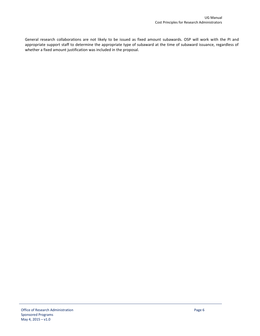<span id="page-5-0"></span>General research collaborations are not likely to be issued as fixed amount subawards. OSP will work with the PI and appropriate support staff to determine the appropriate type of subaward at the time of subaward issuance, regardless of whether a fixed amount justification was included in the proposal.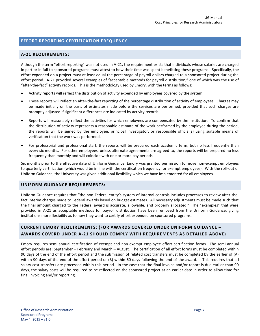## **EFFORT REPORTING CERTIFICATION FREQUENCY**

## <span id="page-6-0"></span>**A-21 REQUIREMENTS:**

Although the term "effort reporting" was not used in A-21, the requirement exists that individuals whose salaries are charged in part or in full to sponsored programs must attest to how their time was spent benefitting these programs. Specifically, the effort expended on a project must at least equal the percentage of payroll dollars charged to a sponsored project during the effort period. A-21 provided several examples of "acceptable methods for payroll distribution," one of which was the use of "after-the-fact" activity records. This is the methodology used by Emory, with the terms as follows:

- Activity reports will reflect the distribution of activity expended by employees covered by the system.
- These reports will reflect an after-the-fact reporting of the percentage distribution of activity of employees. Charges may be made initially on the basis of estimates made before the services are performed, provided that such charges are promptly adjusted if significant differences are indicated by activity records.
- Reports will reasonably reflect the activities for which employees are compensated by the institution. To confirm that the distribution of activity represents a reasonable estimate of the work performed by the employee during the period, the reports will be signed by the employee, principal investigator, or responsible official(s) using suitable means of verification that the work was performed.
- For professorial and professional staff, the reports will be prepared each academic term, but no less frequently than every six months. For other employees, unless alternate agreements are agreed to, the reports will be prepared no less frequently than monthly and will coincide with one or more pay periods.

Six months prior to the effective date of Uniform Guidance, Emory was granted permission to move non-exempt employees to quarterly certification (which would be in line with the certification frequency for exempt employees). With the roll-out of Uniform Guidance, the University was given additional flexibility which we have implemented for all employees.

#### <span id="page-6-1"></span>**UNIFORM GUIDANCE REQUIREMENTS:**

Uniform Guidance requires that "the non-Federal entity's system of internal controls includes processes to review after-thefact interim charges made to Federal awards based on budget estimates. All necessary adjustments must be made such that the final amount charged to the Federal award is accurate, allowable, and properly allocated." The "examples" that were provided in A-21 as acceptable methods for payroll distribution have been removed from the Uniform Guidance, giving institutions more flexibility as to how they want to certify effort expended on sponsored programs.

# <span id="page-6-2"></span>**CURRENT EMORY REQUIREMENTS: (FOR AWARDS COVERED UNDER UNIFORM GUIDANCE – AWARDS COVERD UNDER A-21 SHOULD COMPLY WITH REQUIREMENTS AS DETAILED ABOVE)**

<span id="page-6-3"></span>Emory requires semi-annual certification of exempt and non-exempt employee effort certification forms. The semi-annual effort periods are: September – February and March – August. The certification of all effort forms must be completed within 90 days of the end of the effort period and the submission of related cost transfers must be completed by the earlier of (A) within 90 days of the end of the effort period or (B) within 60 days following the end of the award. This requires that all salary cost transfers are processed within this period. In the case that the final invoice and/or report is due earlier than 90 days, the salary costs will be required to be reflected on the sponsored project at an earlier date in order to allow time for final invoicing and/or reporting.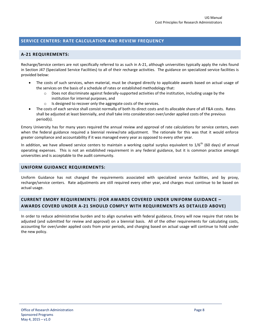# **SERVICE CENTERS: RATE CALCULATION AND REVIEW FREQUENCY**

## <span id="page-7-0"></span>**A-21 REQUIREMENTS:**

Recharge/Service centers are not specifically referred to as such in A-21, although universities typically apply the rules found in Section J47 (Specialized Service Facilities) to all of their recharge activities. The guidance on specialized service facilities is provided below:

- The costs of such services, when material, must be charged directly to applicable awards based on actual usage of the services on the basis of a schedule of rates or established methodology that:
	- o Does not discriminate against federally-supported activities of the institution, including usage by the institution for internal purposes, and
	- o Is designed to recover only the aggregate costs of the services.
- The costs of each service shall consist normally of both its direct costs and its allocable share of all F&A costs. Rates shall be adjusted at least biennially, and shall take into consideration over/under applied costs of the previous period(s).

Emory University has for many years required the annual review and approval of rate calculations for service centers, even when the federal guidance required a biennial review/rate adjustment. The rationale for this was that it would enforce greater compliance and accountability if it was managed every year as opposed to every other year.

In addition, we have allowed service centers to maintain a working capital surplus equivalent to  $1/6<sup>th</sup>$  (60 days) of annual operating expenses. This is not an established requirement in any federal guidance, but it is common practice amongst universities and is acceptable to the audit community.

## <span id="page-7-1"></span>**UNIFORM GUIDANCE REQUIREMENTS:**

Uniform Guidance has not changed the requirements associated with specialized service facilities, and by proxy, recharge/service centers. Rate adjustments are still required every other year, and charges must continue to be based on actual usage.

# <span id="page-7-2"></span>**CURRENT EMORY REQUIREMENTS: (FOR AWARDS COVERED UNDER UNIFORM GUIDANCE – AWARDS COVERD UNDER A-21 SHOULD COMPLY WITH REQUIREMENTS AS DETAILED ABOVE)**

In order to reduce administrative burden and to align ourselves with federal guidance, Emory will now require that rates be adjusted (and submitted for review and approval) on a biennial basis. All of the other requirements for calculating costs, accounting for over/under applied costs from prior periods, and charging based on actual usage will continue to hold under the new policy.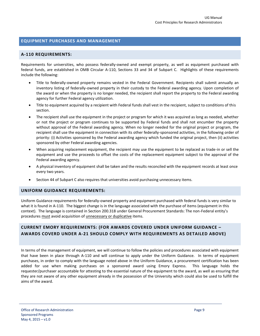## <span id="page-8-0"></span>**EQUIPMENT PURCHASES AND MANAGEMENT**

#### <span id="page-8-1"></span>**A-110 REQUIREMENTS:**

Requirements for universities, who possess federally-owned and exempt property, as well as equipment purchased with federal funds, are established in OMB Circular A-110, Sections 33 and 34 of Subpart C. Highlights of these requirements include the following:

- Title to federally-owned property remains vested in the Federal Government. Recipients shall submit annually an inventory listing of federally-owned property in their custody to the Federal awarding agency. Upon completion of the award or when the property is no longer needed, the recipient shall report the property to the Federal awarding agency for further Federal agency utilization.
- Title to equipment acquired by a recipient with Federal funds shall vest in the recipient, subject to conditions of this section.
- The recipient shall use the equipment in the project or program for which it was acquired as long as needed, whether or not the project or program continues to be supported by Federal funds and shall not encumber the property without approval of the Federal awarding agency. When no longer needed for the original project or program, the recipient shall use the equipment in connection with its other federally-sponsored activities, in the following order of priority: (i) Activities sponsored by the Federal awarding agency which funded the original project, then (ii) activities sponsored by other Federal awarding agencies.
- When acquiring replacement equipment, the recipient may use the equipment to be replaced as trade-in or sell the equipment and use the proceeds to offset the costs of the replacement equipment subject to the approval of the Federal awarding agency.
- A physical inventory of equipment shall be taken and the results reconciled with the equipment records at least once every two years.
- Section 44 of Subpart C also requires that universities avoid purchasing unnecessary items.

#### <span id="page-8-2"></span>**UNIFORM GUIDANCE REQUIREMENTS:**

Uniform Guidance requirements for federally-owned property and equipment purchased with federal funds is very similar to what it is found in A-110. The biggest change is in the language associated with the purchase of items (equipment in this context). The language is contained in Section 200.318 under General Procurement Standards: The non-Federal entity's procedures must avoid acquisition of unnecessary or duplicative items.

# <span id="page-8-3"></span>**CURRENT EMORY REQUIREMENTS: (FOR AWARDS COVERED UNDER UNIFORM GUIDANCE – AWARDS COVERD UNDER A-21 SHOULD COMPLY WITH REQUIREMENTS AS DETAILED ABOVE)**

In terms of the management of equipment, we will continue to follow the policies and procedures associated with equipment that have been in place through A-110 and will continue to apply under the Uniform Guidance. In terms of equipment purchases, in order to comply with the language noted above in the Uniform Guidance, a procurement certification has been added for use when making purchases on a sponsored award using Emory Express. This language holds the requester/purchaser accountable for attesting to the essential nature of the equipment to the award, as well as ensuring that they are not aware of any other equipment already in the possession of the University which could also be used to fulfill the aims of the award.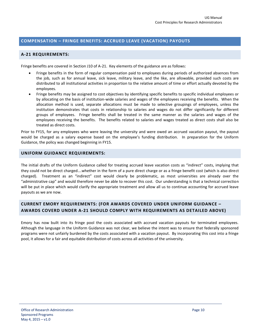# <span id="page-9-0"></span>**COMPENSATION – FRINGE BENEFITS: ACCRUED LEAVE (VACATION) PAYOUTS**

## <span id="page-9-1"></span>**A-21 REQUIREMENTS:**

Fringe benefits are covered in Section J10 of A-21. Key elements of the guidance are as follows:

- Fringe benefits in the form of regular compensation paid to employees during periods of authorized absences from the job, such as for annual leave, sick leave, military leave, and the like, are allowable, provided such costs are distributed to all institutional activities in proportion to the relative amount of time or effort actually devoted by the employees.
- Fringe benefits may be assigned to cost objectives by identifying specific benefits to specific individual employees or by allocating on the basis of institution-wide salaries and wages of the employees receiving the benefits. When the allocation method is used, separate allocations must be made to selective groupings of employees, unless the institution demonstrates that costs in relationship to salaries and wages do not differ significantly for different groups of employees. Fringe benefits shall be treated in the same manner as the salaries and wages of the employees receiving the benefits. The benefits related to salaries and wages treated as direct costs shall also be treated as direct costs.

Prior to FY15, for any employees who were leaving the university and were owed an accrued vacation payout, the payout would be charged as a salary expense based on the employee's funding distribution. In preparation for the Uniform Guidance, the policy was changed beginning in FY15.

## <span id="page-9-2"></span>**UNIFORM GUIDANCE REQUIREMENTS:**

The initial drafts of the Uniform Guidance called for treating accrued leave vacation costs as "indirect" costs, implying that they could not be direct charged….whether in the form of a pure direct charge or as a fringe benefit cost (which is also direct charged). Treatment as an "indirect" cost would clearly be problematic, as most universities are already over the "administrative cap" and would therefore never be able to recover this cost. Our understanding is that a technical correction will be put in place which would clarify the appropriate treatment and allow all us to continue accounting for accrued leave payouts as we are now.

# <span id="page-9-3"></span>**CURRENT EMORY REQUIREMENTS: (FOR AWARDS COVERED UNDER UNIFORM GUIDANCE – AWARDS COVERD UNDER A-21 SHOULD COMPLY WITH REQUIREMENTS AS DETAILED ABOVE)**

<span id="page-9-4"></span>Emory has now built into its fringe pool the costs associated with accrued vacation payouts for terminated employees. Although the language in the Uniform Guidance was not clear, we believe the intent was to ensure that federally sponsored programs were not unfairly burdened by the costs associated with a vacation payout. By incorporating this cost into a fringe pool, it allows for a fair and equitable distribution of costs across all activities of the university.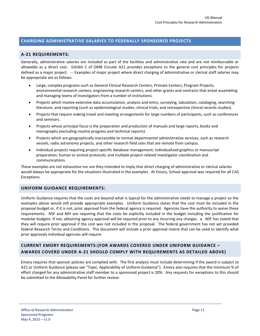## **CHARGING ADMINISTRATIVE SALARIES TO FEDERALLY SPONSORED PROJECTS**

## <span id="page-10-0"></span>**A-21 REQUIREMENTS:**

Generally, administrative salaries are included as part of the facilities and administrative rate and are not reimbursable or allowable as a direct cost. Exhibit C of OMB Circular A21 provides exceptions to the general cost principles for projects defined as a major project. -- Examples of major project where direct charging of administrative or clerical staff salaries may be appropriate are as follows:

- Large, complex programs such as General Clinical Research Centers, Primate Centers, Program Projects, environmental research centers, engineering research centers, and other grants and contracts that entail assembling and managing teams of investigators from a number of institutions.
- Projects which involve extensive data accumulation, analysis and entry, surveying, tabulation, cataloging, searching literature, and reporting (such as epidemiological studies, clinical trials, and retrospective clinical records studies).
- Projects that require making travel and meeting arrangements for large numbers of participants, such as conferences and seminars.
- Projects whose principal focus is the preparation and production of manuals and large reports, books and monographs (excluding routine progress and technical reports).
- Projects which are geographically inaccessible to normal departmental administrative services, such as research vessels, radio astronomy projects, and other research field sites that are remote from campus.
- Individual projects requiring project-specific database management; individualized graphics or manuscript preparation; human or animal protocols; and multiple project-related investigator coordination and communications.

These examples are not exhaustive nor are they intended to imply that direct charging of administrative or clerical salaries would always be appropriate for the situations illustrated in the examples. At Emory, School approval was required for all CAS Exceptions.

#### <span id="page-10-1"></span>**UNIFORM GUIDANCE REQUIREMENTS:**

Uniform Guidance requires that the costs are beyond what is typical for the administrative needs to manage a project so the examples above would still provide appropriate examples. Uniform Guidance states that the cost must be included in the proposal budget or, if it is not, prior approval from the federal agency is required. Agencies have the authority to waive these requirements. NSF and NIH are requiring that the costs be explicitly included in the budget including the justification for modular budgets. If not, obtaining agency approval will be required prior to any incurring any charges. a. NSF has stated that they will require prior approval if the cost was not included in the proposal. The federal government has not yet provided federal Research Terms and Conditions. This document will include a prior approval matrix that can be used to identify what prior approvals individual agencies will require.

# <span id="page-10-2"></span>**CURRENT EMORY REQUIREMENTS:(FOR AWARDS COVERED UNDER UNIFORM GUIDANCE – AWARDS COVERD UNDER A-21 SHOULD COMPLY WITH REQUIREMENTS AS DETAILED ABOVE)**

<span id="page-10-3"></span>Emory requires that sponsor policies are complied with. The first analysis must include determining if the award is subject to A21 or Uniform Guidance (please see "Topic: Applicability of Uniform Guidance"). Emory also requires that the minimum % of effort charged for any administrative staff member to a sponsored project is 20%. Any requests for exceptions to this should be submitted to the Allowability Panel for further review.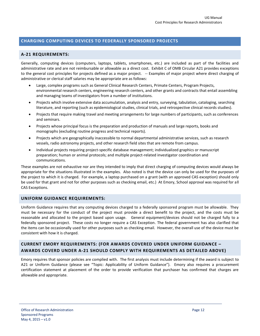# **CHARGING COMPUTING DEVICES TO FEDERALLY SPONSORED PROJECTS**

## <span id="page-11-0"></span>**A-21 REQUIREMENTS:**

Generally, computing devices (computers, laptops, tablets, smartphones, etc.) are included as part of the facilities and administrative rate and are not reimbursable or allowable as a direct cost. Exhibit C of OMB Circular A21 provides exceptions to the general cost principles for projects defined as a major project. -- Examples of major project where direct charging of administrative or clerical staff salaries may be appropriate are as follows:

- Large, complex programs such as General Clinical Research Centers, Primate Centers, Program Projects, environmental research centers, engineering research centers, and other grants and contracts that entail assembling and managing teams of investigators from a number of institutions.
- Projects which involve extensive data accumulation, analysis and entry, surveying, tabulation, cataloging, searching literature, and reporting (such as epidemiological studies, clinical trials, and retrospective clinical records studies).
- Projects that require making travel and meeting arrangements for large numbers of participants, such as conferences and seminars.
- Projects whose principal focus is the preparation and production of manuals and large reports, books and monographs (excluding routine progress and technical reports).
- Projects which are geographically inaccessible to normal departmental administrative services, such as research vessels, radio astronomy projects, and other research field sites that are remote from campus.
- Individual projects requiring project-specific database management; individualized graphics or manuscript preparation; human or animal protocols; and multiple project-related investigator coordination and communications.

These examples are not exhaustive nor are they intended to imply that direct charging of computing devices would always be appropriate for the situations illustrated in the examples. Also noted is that the device can only be used for the purposes of the project to which it is charged. For example, a laptop purchased on a grant (with an approved CAS exception) should only be used for that grant and not for other purposes such as checking email, etc.) At Emory, School approval was required for all CAS Exceptions.

## <span id="page-11-1"></span>**UNIFORM GUIDANCE REQUIREMENTS:**

Uniform Guidance requires that any computing devices charged to a federally sponsored program must be allowable. They must be necessary for the conduct of the project must provide a direct benefit to the project, and the costs must be reasonable and allocated to the project based upon usage. General equipment/devices should not be charged fully to a federally sponsored project. These costs no longer require a CAS Exception. The federal government has also clarified that the items can be occasionally used for other purposes such as checking email. However, the overall use of the device must be consistent with how it is charged.

# <span id="page-11-2"></span>**CURRENT EMORY REQUIREMENTS: (FOR AWARDS COVERED UNDER UNIFORM GUIDANCE – AWARDS COVERD UNDER A-21 SHOULD COMPLY WITH REQUIREMENTS AS DETAILED ABOVE)**

<span id="page-11-3"></span>Emory requires that sponsor policies are complied with. The first analysis must include determining if the award is subject to A21 or Uniform Guidance (please see "Topic: Applicability of Uniform Guidance"). Emory also requires a procurement certification statement at placement of the order to provide verification that purchaser has confirmed that charges are allowable and appropriate.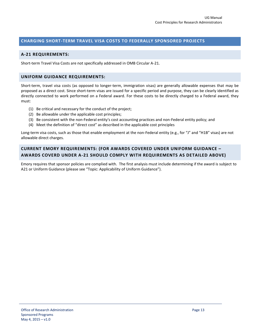# **CHARGING SHORT-TERM TRAVEL VISA COSTS TO FEDERALLY SPONSORED PROJECTS**

## <span id="page-12-0"></span>**A-21 REQUIREMENTS:**

Short-term Travel Visa Costs are not specifically addressed in OMB Circular A-21.

## <span id="page-12-1"></span>**UNIFORM GUIDANCE REQUIREMENTS:**

Short-term, travel visa costs (as opposed to longer-term, immigration visas) are generally allowable expenses that may be proposed as a direct cost. Since short-term visas are issued for a specific period and purpose, they can be clearly identified as directly connected to work performed on a Federal award. For these costs to be directly charged to a Federal award, they must:

- (1) Be critical and necessary for the conduct of the project;
- (2) Be allowable under the applicable cost principles;
- (3) Be consistent with the non-Federal entity's cost accounting practices and non-Federal entity policy; and
- (4) Meet the definition of "direct cost" as described in the applicable cost principles

Long-term visa costs, such as those that enable employment at the non-Federal entity (e.g., for "J" and "H1B" visas) are not allowable direct charges.

# <span id="page-12-2"></span>**CURRENT EMORY REQUIREMENTS: (FOR AWARDS COVERED UNDER UNIFORM GUIDANCE – AWARDS COVERD UNDER A-21 SHOULD COMPLY WITH REQUIREMENTS AS DETAILED ABOVE)**

Emory requires that sponsor policies are complied with. The first analysis must include determining if the award is subject to A21 or Uniform Guidance (please see "Topic: Applicability of Uniform Guidance").